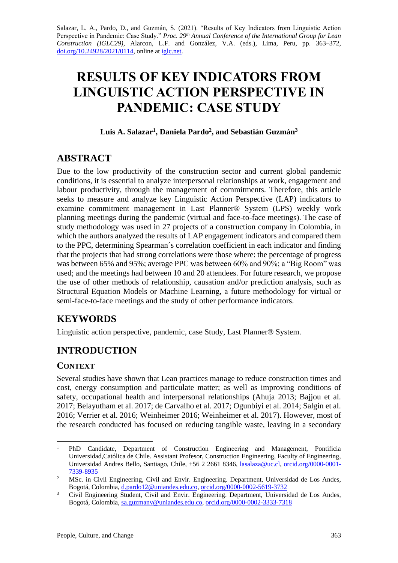Salazar, L. A., Pardo, D., and Guzmán, S. (2021). "Results of Key Indicators from Linguistic Action Perspective in Pandemic: Case Study." *Proc. 29th Annual Conference of the International Group for Lean Construction (IGLC29),* Alarcon, L.F. and González, V.A. (eds.)*,* Lima, Peru, pp. 363–372, [doi.org/10.24928/2021/0114,](https://doi.org/10.24928/2021/0114) online a[t iglc.net.](http://iglc.net/)

# **RESULTS OF KEY INDICATORS FROM LINGUISTIC ACTION PERSPECTIVE IN PANDEMIC: CASE STUDY**

#### **Luis A. Salazar<sup>1</sup> , Daniela Pardo<sup>2</sup> , and Sebastián Guzmán<sup>3</sup>**

## **ABSTRACT**

Due to the low productivity of the construction sector and current global pandemic conditions, it is essential to analyze interpersonal relationships at work, engagement and labour productivity, through the management of commitments. Therefore, this article seeks to measure and analyze key Linguistic Action Perspective (LAP) indicators to examine commitment management in Last Planner® System (LPS) weekly work planning meetings during the pandemic (virtual and face-to-face meetings). The case of study methodology was used in 27 projects of a construction company in Colombia, in which the authors analyzed the results of LAP engagement indicators and compared them to the PPC, determining Spearman´s correlation coefficient in each indicator and finding that the projects that had strong correlations were those where: the percentage of progress was between 65% and 95%; average PPC was between 60% and 90%; a "Big Room" was used; and the meetings had between 10 and 20 attendees. For future research, we propose the use of other methods of relationship, causation and/or prediction analysis, such as Structural Equation Models or Machine Learning, a future methodology for virtual or semi-face-to-face meetings and the study of other performance indicators.

# **KEYWORDS**

Linguistic action perspective, pandemic, case Study, Last Planner® System.

# **INTRODUCTION**

#### **CONTEXT**

Several studies have shown that Lean practices manage to reduce construction times and cost, energy consumption and particulate matter; as well as improving conditions of safety, occupational health and interpersonal relationships (Ahuja 2013; Bajjou et al. 2017; Belayutham et al. 2017; de Carvalho et al. 2017; Ogunbiyi et al. 2014; Salgin et al. 2016; Verrier et al. 2016; Weinheimer 2016; Weinheimer et al. 2017). However, most of the research conducted has focused on reducing tangible waste, leaving in a secondary

<sup>&</sup>lt;sup>1</sup> PhD Candidate, Department of Construction Engineering and Management, Pontificia Universidad,Católica de Chile. Assistant Profesor, Construction Engineering, Faculty of Engineering, Universidad Andres Bello, Santiago, Chile, +56 2 2661 8346, [lasalaza@uc.cl,](mailto:lasalaza@uc.cl) [orcid.org/0000-0001-](https://orcid.org/0000-0001-7339-8935) [7339-8935](https://orcid.org/0000-0001-7339-8935)

<sup>&</sup>lt;sup>2</sup> MSc. in Civil Engineering, Civil and Envir. Engineering. Department, Universidad de Los Andes, Bogotá, Colombia, [d.pardo12@uniandes.edu.co,](mailto:d.pardo12@uniandes.edu.co) [orcid.org/0000-0002-5619-3732](https://orcid.org/0000-0002-5619-3732)

<sup>&</sup>lt;sup>3</sup> Civil Engineering Student, Civil and Envir. Engineering. Department, Universidad de Los Andes, Bogotá, Colombia, [sa.guzmanv@uniandes.edu.co,](mailto:sa.guzmanv@uniandes.edu.co) [orcid.org/0000-0002-3333-7318](https://orcid.org/0000-0002-3333-7318)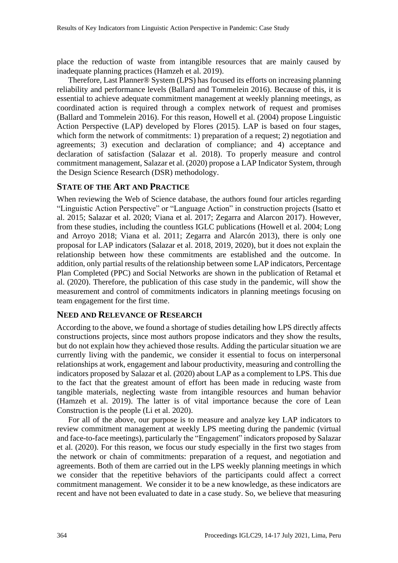place the reduction of waste from intangible resources that are mainly caused by inadequate planning practices (Hamzeh et al. 2019).

Therefore, Last Planner® System (LPS) has focused its efforts on increasing planning reliability and performance levels (Ballard and Tommelein 2016). Because of this, it is essential to achieve adequate commitment management at weekly planning meetings, as coordinated action is required through a complex network of request and promises (Ballard and Tommelein 2016). For this reason, Howell et al. (2004) propose Linguistic Action Perspective (LAP) developed by Flores (2015). LAP is based on four stages, which form the network of commitments: 1) preparation of a request; 2) negotiation and agreements; 3) execution and declaration of compliance; and 4) acceptance and declaration of satisfaction (Salazar et al. 2018). To properly measure and control commitment management, Salazar et al. (2020) propose a LAP Indicator System, through the Design Science Research (DSR) methodology.

#### **STATE OF THE ART AND PRACTICE**

When reviewing the Web of Science database, the authors found four articles regarding "Linguistic Action Perspective" or "Language Action" in construction projects (Isatto et al. 2015; Salazar et al. 2020; Viana et al. 2017; Zegarra and Alarcon 2017). However, from these studies, including the countless IGLC publications (Howell et al. 2004; Long and Arroyo 2018; Viana et al. 2011; Zegarra and Alarcón 2013), there is only one proposal for LAP indicators (Salazar et al. 2018, 2019, 2020), but it does not explain the relationship between how these commitments are established and the outcome. In addition, only partial results of the relationship between some LAP indicators, Percentage Plan Completed (PPC) and Social Networks are shown in the publication of Retamal et al. (2020). Therefore, the publication of this case study in the pandemic, will show the measurement and control of commitments indicators in planning meetings focusing on team engagement for the first time.

#### **NEED AND RELEVANCE OF RESEARCH**

According to the above, we found a shortage of studies detailing how LPS directly affects constructions projects, since most authors propose indicators and they show the results, but do not explain how they achieved those results. Adding the particular situation we are currently living with the pandemic, we consider it essential to focus on interpersonal relationships at work, engagement and labour productivity, measuring and controlling the indicators proposed by Salazar et al. (2020) about LAP as a complement to LPS. This due to the fact that the greatest amount of effort has been made in reducing waste from tangible materials, neglecting waste from intangible resources and human behavior (Hamzeh et al. 2019). The latter is of vital importance because the core of Lean Construction is the people (Li et al. 2020).

For all of the above, our purpose is to measure and analyze key LAP indicators to review commitment management at weekly LPS meeting during the pandemic (virtual and face-to-face meetings), particularly the "Engagement" indicators proposed by Salazar et al. (2020). For this reason, we focus our study especially in the first two stages from the network or chain of commitments: preparation of a request, and negotiation and agreements. Both of them are carried out in the LPS weekly planning meetings in which we consider that the repetitive behaviors of the participants could affect a correct commitment management. We consider it to be a new knowledge, as these indicators are recent and have not been evaluated to date in a case study. So, we believe that measuring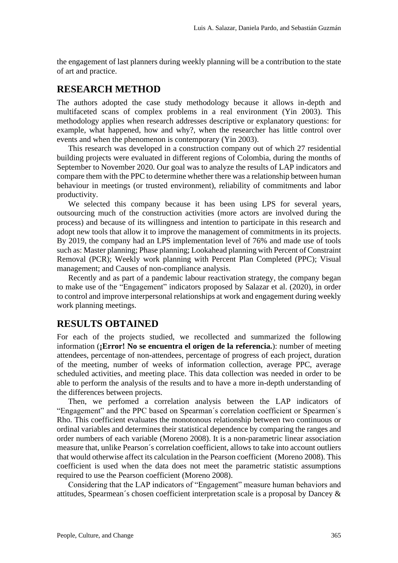the engagement of last planners during weekly planning will be a contribution to the state of art and practice.

#### **RESEARCH METHOD**

The authors adopted the case study methodology because it allows in-depth and multifaceted scans of complex problems in a real environment (Yin 2003). This methodology applies when research addresses descriptive or explanatory questions: for example, what happened, how and why?, when the researcher has little control over events and when the phenomenon is contemporary (Yin 2003).

This research was developed in a construction company out of which 27 residential building projects were evaluated in different regions of Colombia, during the months of September to November 2020. Our goal was to analyze the results of LAP indicators and compare them with the PPC to determine whether there was a relationship between human behaviour in meetings (or trusted environment), reliability of commitments and labor productivity.

We selected this company because it has been using LPS for several years, outsourcing much of the construction activities (more actors are involved during the process) and because of its willingness and intention to participate in this research and adopt new tools that allow it to improve the management of commitments in its projects. By 2019, the company had an LPS implementation level of 76% and made use of tools such as: Master planning; Phase planning; Lookahead planning with Percent of Constraint Removal (PCR); Weekly work planning with Percent Plan Completed (PPC); Visual management; and Causes of non-compliance analysis.

Recently and as part of a pandemic labour reactivation strategy, the company began to make use of the "Engagement" indicators proposed by Salazar et al. (2020), in order to control and improve interpersonal relationships at work and engagement during weekly work planning meetings.

#### **RESULTS OBTAINED**

For each of the projects studied, we recollected and summarized the following information (**¡Error! No se encuentra el origen de la referencia.**): number of meeting attendees, percentage of non-attendees, percentage of progress of each project, duration of the meeting, number of weeks of information collection, average PPC, average scheduled activities, and meeting place. This data collection was needed in order to be able to perform the analysis of the results and to have a more in-depth understanding of the differences between projects.

Then, we perfomed a correlation analysis between the LAP indicators of "Engagement" and the PPC based on Spearman´s correlation coefficient or Spearmen´s Rho. This coefficient evaluates the monotonous relationship between two continuous or ordinal variables and determines their statistical dependence by comparing the ranges and order numbers of each variable (Moreno 2008). It is a non-parametric linear association measure that, unlike Pearson´s correlation coefficient, allows to take into account outliers that would otherwise affect its calculation in the Pearson coefficient (Moreno 2008). This coefficient is used when the data does not meet the parametric statistic assumptions required to use the Pearson coefficient (Moreno 2008).

Considering that the LAP indicators of "Engagement" measure human behaviors and attitudes, Spearmean´s chosen coefficient interpretation scale is a proposal by Dancey &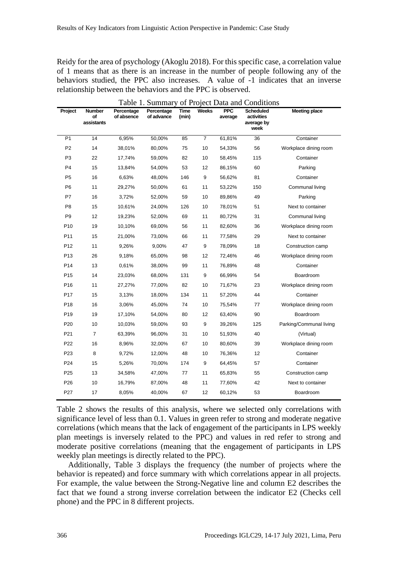Reidy for the area of psychology (Akoglu 2018). For this specific case, a correlation value of 1 means that as there is an increase in the number of people following any of the behaviors studied, the PPC also increases. A value of -1 indicates that an inverse relationship between the behaviors and the PPC is observed.

| Table 1. Summary of Project Data and Conditions |                                   |                          |                          |                      |                |                       |                                                      |                         |  |  |  |
|-------------------------------------------------|-----------------------------------|--------------------------|--------------------------|----------------------|----------------|-----------------------|------------------------------------------------------|-------------------------|--|--|--|
| Project                                         | <b>Number</b><br>οf<br>assistants | Percentage<br>of absence | Percentage<br>of advance | <b>Time</b><br>(min) | <b>Weeks</b>   | <b>PPC</b><br>average | <b>Scheduled</b><br>activities<br>average by<br>week | <b>Meeting place</b>    |  |  |  |
| P <sub>1</sub>                                  | 14                                | 6,95%                    | 50,00%                   | 85                   | $\overline{7}$ | 61,81%                | 36                                                   | Container               |  |  |  |
| P <sub>2</sub>                                  | 14                                | 38,01%                   | 80,00%                   | 75                   | 10             | 54,33%                | 56                                                   | Workplace dining room   |  |  |  |
| P <sub>3</sub>                                  | 22                                | 17,74%                   | 59,00%                   | 82                   | 10             | 58,45%                | 115                                                  | Container               |  |  |  |
| P <sub>4</sub>                                  | 15                                | 13,84%                   | 54,00%                   | 53                   | 12             | 86,15%                | 60                                                   | Parking                 |  |  |  |
| P <sub>5</sub>                                  | 16                                | 6,63%                    | 48,00%                   | 146                  | 9              | 56,62%                | 81                                                   | Container               |  |  |  |
| P <sub>6</sub>                                  | 11                                | 29,27%                   | 50,00%                   | 61                   | 11             | 53,22%                | 150                                                  | Communal living         |  |  |  |
| P7                                              | 16                                | 3,72%                    | 52,00%                   | 59                   | 10             | 89,86%                | 49                                                   | Parking                 |  |  |  |
| P <sub>8</sub>                                  | 15                                | 10,61%                   | 24,00%                   | 126                  | 10             | 78,01%                | 51                                                   | Next to container       |  |  |  |
| P <sub>9</sub>                                  | 12                                | 19,23%                   | 52,00%                   | 69                   | 11             | 80,72%                | 31                                                   | Communal living         |  |  |  |
| P <sub>10</sub>                                 | 19                                | 10,10%                   | 69,00%                   | 56                   | 11             | 82,60%                | 36                                                   | Workplace dining room   |  |  |  |
| P <sub>11</sub>                                 | 15                                | 21,00%                   | 73,00%                   | 66                   | 11             | 77,58%                | 29                                                   | Next to container       |  |  |  |
| P12                                             | 11                                | 9,26%                    | 9,00%                    | 47                   | 9              | 78,09%                | 18                                                   | Construction camp       |  |  |  |
| P <sub>13</sub>                                 | 26                                | 9,18%                    | 65,00%                   | 98                   | 12             | 72,46%                | 46                                                   | Workplace dining room   |  |  |  |
| P14                                             | 13                                | 0,61%                    | 38,00%                   | 99                   | 11             | 76,89%                | 48                                                   | Container               |  |  |  |
| P <sub>15</sub>                                 | 14                                | 23,03%                   | 68,00%                   | 131                  | 9              | 66,99%                | 54                                                   | Boardroom               |  |  |  |
| P <sub>16</sub>                                 | 11                                | 27,27%                   | 77,00%                   | 82                   | 10             | 71,67%                | 23                                                   | Workplace dining room   |  |  |  |
| P17                                             | 15                                | 3,13%                    | 18,00%                   | 134                  | 11             | 57,20%                | 44                                                   | Container               |  |  |  |
| P <sub>18</sub>                                 | 16                                | 3,06%                    | 45,00%                   | 74                   | 10             | 75,54%                | 77                                                   | Workplace dining room   |  |  |  |
| P <sub>19</sub>                                 | 19                                | 17,10%                   | 54,00%                   | 80                   | 12             | 63,40%                | 90                                                   | Boardroom               |  |  |  |
| P <sub>20</sub>                                 | 10                                | 10,03%                   | 59,00%                   | 93                   | 9              | 39,26%                | 125                                                  | Parking/Communal living |  |  |  |
| P21                                             | 7                                 | 63,39%                   | 96,00%                   | 31                   | 10             | 51,93%                | 40                                                   | (Virtual)               |  |  |  |
| P22                                             | 16                                | 8,96%                    | 32,00%                   | 67                   | 10             | 80,60%                | 39                                                   | Workplace dining room   |  |  |  |
| P23                                             | 8                                 | 9,72%                    | 12,00%                   | 48                   | 10             | 76,36%                | 12                                                   | Container               |  |  |  |
| P24                                             | 15                                | 5,26%                    | 70,00%                   | 174                  | 9              | 64,45%                | 57                                                   | Container               |  |  |  |
| P <sub>25</sub>                                 | 13                                | 34,58%                   | 47,00%                   | 77                   | 11             | 65,83%                | 55                                                   | Construction camp       |  |  |  |
| P <sub>26</sub>                                 | 10                                | 16,79%                   | 87,00%                   | 48                   | 11             | 77,60%                | 42                                                   | Next to container       |  |  |  |
| P <sub>27</sub>                                 | 17                                | 8,05%                    | 40,00%                   | 67                   | 12             | 60,12%                | 53                                                   | Boardroom               |  |  |  |

Table 2 shows the results of this analysis, where we selected only correlations with significance level of less than 0.1. Values in green refer to strong and moderate negative correlations (which means that the lack of engagement of the participants in LPS weekly plan meetings is inversely related to the PPC) and values in red refer to strong and moderate positive correlations (meaning that the engagement of participants in LPS weekly plan meetings is directly related to the PPC).

Additionally, Table 3 displays the frequency (the number of projects where the behavior is repeated) and force summary with which correlations appear in all projects. For example, the value between the Strong-Negative line and column E2 describes the fact that we found a strong inverse correlation between the indicator E2 (Checks cell phone) and the PPC in 8 different projects.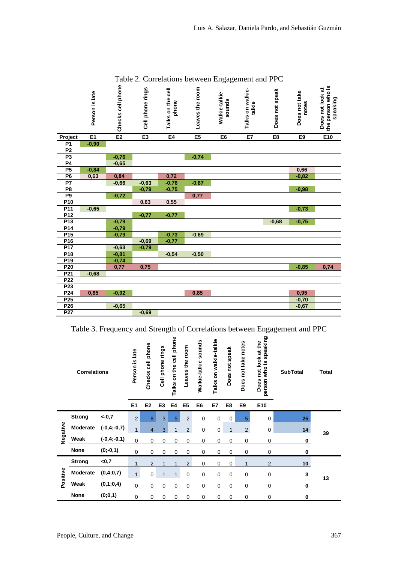|                                    | Person is late | Checks cell phone | Cell phone rings | Talks on the cell<br>phone | Leaves the room | ັ<br>$\tilde{\phantom{a}}$<br>Walkie-talkie<br>sounds | Talks on walkie-<br>talkie | Does not speak | Does not take<br>notes | the person who is<br>Does not look at<br>speaking |
|------------------------------------|----------------|-------------------|------------------|----------------------------|-----------------|-------------------------------------------------------|----------------------------|----------------|------------------------|---------------------------------------------------|
| Project                            | E1             | E2                | E3               | E4                         | E5              | E <sub>6</sub>                                        | E7                         | E8             | E <sub>9</sub>         | E10                                               |
| <b>P1</b>                          | $-0,90$        |                   |                  |                            |                 |                                                       |                            |                |                        |                                                   |
| $\overline{P2}$                    |                |                   |                  |                            |                 |                                                       |                            |                |                        |                                                   |
| P3                                 |                | $-0,76$           |                  |                            | $-0,74$         |                                                       |                            |                |                        |                                                   |
| P <sub>4</sub>                     |                | $-0,65$           |                  |                            |                 |                                                       |                            |                |                        |                                                   |
| <b>P5</b>                          | $-0,84$        |                   |                  |                            |                 |                                                       |                            |                | 0,66                   |                                                   |
| P <sub>6</sub>                     | 0,63           | 0,84              |                  | 0,72                       |                 |                                                       |                            |                | $-0,82$                |                                                   |
| P <sub>7</sub>                     |                | $-0,66$           | $-0,63$          | $-0,76$                    | $-0,87$         |                                                       |                            |                |                        |                                                   |
| P <sub>8</sub>                     |                |                   | $-0,79$          | $-0,75$                    |                 |                                                       |                            |                | $-0,98$                |                                                   |
| P <sub>9</sub>                     |                | $-0,72$           |                  |                            | 0,77            |                                                       |                            |                |                        |                                                   |
| P <sub>10</sub>                    |                |                   | 0,63             | 0,55                       |                 |                                                       |                            |                |                        |                                                   |
| P <sub>11</sub>                    | $-0,65$        |                   |                  |                            |                 |                                                       |                            |                | $-0,73$                |                                                   |
| P <sub>12</sub>                    |                |                   | $-0,77$          | $-0,77$                    |                 |                                                       |                            |                |                        |                                                   |
| P <sub>13</sub>                    |                | $-0,79$           |                  |                            |                 |                                                       |                            | $-0,68$        | $-0,75$                |                                                   |
| P14                                |                | $-0,79$           |                  |                            |                 |                                                       |                            |                |                        |                                                   |
| P <sub>15</sub>                    |                | $-0,79$           |                  | $-0,73$                    | $-0,69$         |                                                       |                            |                |                        |                                                   |
| P <sub>16</sub>                    |                |                   | $-0,69$          | $-0,77$                    |                 |                                                       |                            |                |                        |                                                   |
| P17                                |                | $-0,63$           | $-0,79$          |                            |                 |                                                       |                            |                |                        |                                                   |
| P <sub>18</sub>                    |                | $-0,81$           |                  | $-0,54$                    | $-0,50$         |                                                       |                            |                |                        |                                                   |
| P <sub>19</sub>                    |                | $-0,74$           |                  |                            |                 |                                                       |                            |                |                        |                                                   |
| P20                                |                | 0,77              | 0,75             |                            |                 |                                                       |                            |                | $-0,85$                | 0,74                                              |
| P <sub>21</sub>                    | $-0,68$        |                   |                  |                            |                 |                                                       |                            |                |                        |                                                   |
| P <sub>22</sub>                    |                |                   |                  |                            |                 |                                                       |                            |                |                        |                                                   |
| P <sub>23</sub>                    |                |                   |                  |                            |                 |                                                       |                            |                |                        |                                                   |
| P <sub>24</sub>                    | 0,85           | $-0,92$           |                  |                            | 0,85            |                                                       |                            |                | 0,95                   |                                                   |
| P <sub>25</sub>                    |                |                   |                  |                            |                 |                                                       |                            |                | $-0,70$                |                                                   |
| P <sub>26</sub><br>P <sub>27</sub> |                | $-0,65$           |                  |                            |                 |                                                       |                            |                | $-0,67$                |                                                   |
|                                    |                |                   | $-0,69$          |                            |                 |                                                       |                            |                |                        |                                                   |

Table 2. Correlations between Engagement and PPC

Table 3. Frequency and Strength of Correlations between Engagement and PPC

| <b>Correlations</b> |               | Person is late<br>E <sub>1</sub> | Checks cell phone<br>E <sub>2</sub> | Cell phone rings<br>E <sub>3</sub> | Talks on the cell phone<br>E4 | Leaves the room<br>E <sub>5</sub> | Walkie-talkie sounds<br>E <sub>6</sub> | Talks on walkie-talkie<br>E7 | not speak<br>Does<br>E8 | Does not take notes<br>E9 | speaking<br>not look at the<br>who is<br>Does<br>person<br>E10 | <b>SubTotal</b> | <b>Total</b> |    |
|---------------------|---------------|----------------------------------|-------------------------------------|------------------------------------|-------------------------------|-----------------------------------|----------------------------------------|------------------------------|-------------------------|---------------------------|----------------------------------------------------------------|-----------------|--------------|----|
|                     |               |                                  |                                     |                                    |                               |                                   |                                        |                              |                         |                           |                                                                |                 |              |    |
|                     | <b>Strong</b> | $<-0,7$                          | $\overline{2}$                      | 8                                  | 3                             | 5                                 | $\overline{2}$                         | 0                            | 0                       | 0                         | 5                                                              | 0               | 25           | 39 |
| Negative            | Moderate      | $(-0, 4, -0, 7)$                 | $\mathbf{1}$                        | 4                                  | 3                             | 1                                 | $\overline{2}$                         | 0                            | 0                       | $\mathbf{1}$              | $\overline{2}$                                                 | 0               | 14           |    |
|                     | Weak          | $(-0, 4, -0, 1)$                 | $\mathbf 0$                         | 0                                  | $\mathbf 0$                   | 0                                 | $\mathbf 0$                            | 0                            | 0                       | 0                         | $\mathbf 0$                                                    | $\mathbf 0$     | 0            |    |
|                     | <b>None</b>   | $(0,-0,1)$                       | $\mathbf 0$                         | $\mathbf 0$                        | $\mathbf 0$                   | 0                                 | 0                                      | 0                            | 0                       | 0                         | 0                                                              | $\mathbf 0$     | 0            |    |
| Positive            | <b>Strong</b> | < 0,7                            | $\mathbf{1}$                        | 2                                  | 1                             | 1                                 | $\overline{2}$                         | 0                            | 0                       | 0                         | 1                                                              | 2               | 10           |    |
|                     | Moderate      | (0,4;0,7)                        | $\mathbf{1}$                        | $\mathbf 0$                        | 1                             | $\mathbf{1}$                      | $\mathbf 0$                            | 0                            | $\mathbf 0$             | 0                         | $\mathbf 0$                                                    | 0               | 3            | 13 |
|                     | Weak          | (0,1;0,4)                        | $\mathbf 0$                         | $\mathbf 0$                        | $\mathbf 0$                   | 0                                 | $\mathbf 0$                            | 0                            | $\mathbf 0$             | $\mathbf 0$               | $\mathbf 0$                                                    | 0               | 0            |    |
|                     | <b>None</b>   | (0;0,1)                          | $\mathbf 0$                         | $\mathbf 0$                        | 0                             | 0                                 | $\mathbf 0$                            | 0                            | $\mathbf 0$             | $\mathbf 0$               | 0                                                              | 0               | 0            |    |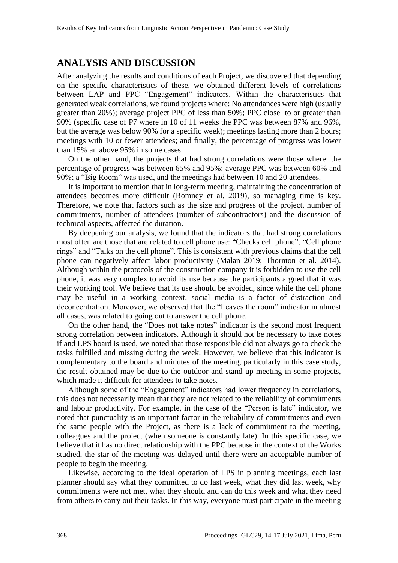#### **ANALYSIS AND DISCUSSION**

After analyzing the results and conditions of each Project, we discovered that depending on the specific characteristics of these, we obtained different levels of correlations between LAP and PPC "Engagement" indicators. Within the characteristics that generated weak correlations, we found projects where: No attendances were high (usually greater than 20%); average project PPC of less than 50%; PPC close to or greater than 90% (specific case of P7 where in 10 of 11 weeks the PPC was between 87% and 96%, but the average was below 90% for a specific week); meetings lasting more than 2 hours; meetings with 10 or fewer attendees; and finally, the percentage of progress was lower than 15% an above 95% in some cases.

On the other hand, the projects that had strong correlations were those where: the percentage of progress was between 65% and 95%; average PPC was between 60% and 90%; a "Big Room" was used, and the meetings had between 10 and 20 attendees.

It is important to mention that in long-term meeting, maintaining the concentration of attendees becomes more difficult (Romney et al. 2019), so managing time is key. Therefore, we note that factors such as the size and progress of the project, number of commitments, number of attendees (number of subcontractors) and the discussion of technical aspects, affected the duration.

By deepening our analysis, we found that the indicators that had strong correlations most often are those that are related to cell phone use: "Checks cell phone", "Cell phone rings" and "Talks on the cell phone". This is consistent with previous claims that the cell phone can negatively affect labor productivity (Malan 2019; Thornton et al. 2014). Although within the protocols of the construction company it is forbidden to use the cell phone, it was very complex to avoid its use because the participants argued that it was their working tool. We believe that its use should be avoided, since while the cell phone may be useful in a working context, social media is a factor of distraction and deconcentration. Moreover, we observed that the "Leaves the room" indicator in almost all cases, was related to going out to answer the cell phone.

On the other hand, the "Does not take notes" indicator is the second most frequent strong correlation between indicators. Although it should not be necessary to take notes if and LPS board is used, we noted that those responsible did not always go to check the tasks fulfilled and missing during the week. However, we believe that this indicator is complementary to the board and minutes of the meeting, particularly in this case study, the result obtained may be due to the outdoor and stand-up meeting in some projects, which made it difficult for attendees to take notes.

Although some of the "Engagement" indicators had lower frequency in correlations, this does not necessarily mean that they are not related to the reliability of commitments and labour productivity. For example, in the case of the "Person is late" indicator, we noted that punctuality is an important factor in the reliability of commitments and even the same people with the Project, as there is a lack of commitment to the meeting, colleagues and the project (when someone is constantly late). In this specific case, we believe that it has no direct relationship with the PPC because in the context of the Works studied, the star of the meeting was delayed until there were an acceptable number of people to begin the meeting.

Likewise, according to the ideal operation of LPS in planning meetings, each last planner should say what they committed to do last week, what they did last week, why commitments were not met, what they should and can do this week and what they need from others to carry out their tasks. In this way, everyone must participate in the meeting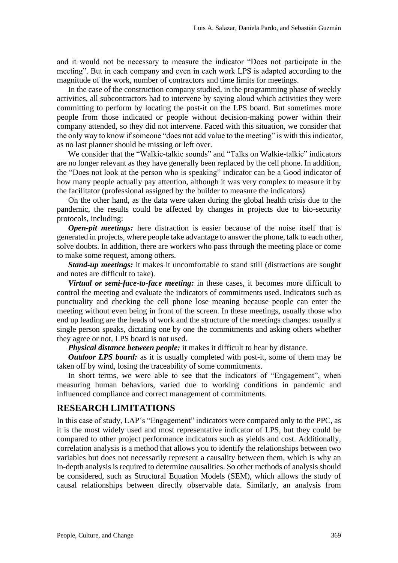and it would not be necessary to measure the indicator "Does not participate in the meeting". But in each company and even in each work LPS is adapted according to the magnitude of the work, number of contractors and time limits for meetings.

In the case of the construction company studied, in the programming phase of weekly activities, all subcontractors had to intervene by saying aloud which activities they were committing to perform by locating the post-it on the LPS board. But sometimes more people from those indicated or people without decision-making power within their company attended, so they did not intervene. Faced with this situation, we consider that the only way to know if someone "does not add value to the meeting" is with this indicator, as no last planner should be missing or left over.

We consider that the "Walkie-talkie sounds" and "Talks on Walkie-talkie" indicators are no longer relevant as they have generally been replaced by the cell phone. In addition, the "Does not look at the person who is speaking" indicator can be a Good indicator of how many people actually pay attention, although it was very complex to measure it by the facilitator (professional assigned by the builder to measure the indicators)

On the other hand, as the data were taken during the global health crisis due to the pandemic, the results could be affected by changes in projects due to bio-security protocols, including:

*Open-pit meetings:* here distraction is easier because of the noise itself that is generated in projects, where people take advantage to answer the phone, talk to each other, solve doubts. In addition, there are workers who pass through the meeting place or come to make some request, among others.

*Stand-up meetings:* it makes it uncomfortable to stand still (distractions are sought and notes are difficult to take).

*Virtual or semi-face-to-face meeting:* in these cases, it becomes more difficult to control the meeting and evaluate the indicators of commitments used. Indicators such as punctuality and checking the cell phone lose meaning because people can enter the meeting without even being in front of the screen. In these meetings, usually those who end up leading are the heads of work and the structure of the meetings changes: usually a single person speaks, dictating one by one the commitments and asking others whether they agree or not, LPS board is not used.

*Physical distance between people:* it makes it difficult to hear by distance.

*Outdoor LPS board:* as it is usually completed with post-it, some of them may be taken off by wind, losing the traceability of some commitments.

In short terms, we were able to see that the indicators of "Engagement", when measuring human behaviors, varied due to working conditions in pandemic and influenced compliance and correct management of commitments.

#### **RESEARCH LIMITATIONS**

In this case of study, LAP's "Engagement" indicators were compared only to the PPC, as it is the most widely used and most representative indicator of LPS, but they could be compared to other project performance indicators such as yields and cost. Additionally, correlation analysis is a method that allows you to identify the relationships between two variables but does not necessarily represent a causality between them, which is why an in-depth analysis is required to determine causalities. So other methods of analysis should be considered, such as Structural Equation Models (SEM), which allows the study of causal relationships between directly observable data. Similarly, an analysis from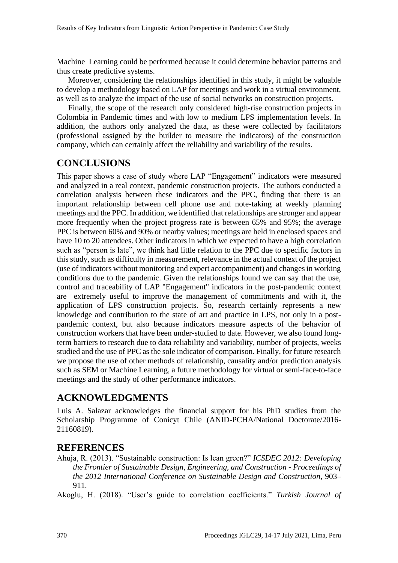Machine Learning could be performed because it could determine behavior patterns and thus create predictive systems.

Moreover, considering the relationships identified in this study, it might be valuable to develop a methodology based on LAP for meetings and work in a virtual environment, as well as to analyze the impact of the use of social networks on construction projects.

Finally, the scope of the research only considered high-rise construction projects in Colombia in Pandemic times and with low to medium LPS implementation levels. In addition, the authors only analyzed the data, as these were collected by facilitators (professional assigned by the builder to measure the indicators) of the construction company, which can certainly affect the reliability and variability of the results.

# **CONCLUSIONS**

This paper shows a case of study where LAP "Engagement" indicators were measured and analyzed in a real context, pandemic construction projects. The authors conducted a correlation analysis between these indicators and the PPC, finding that there is an important relationship between cell phone use and note-taking at weekly planning meetings and the PPC. In addition, we identified that relationships are stronger and appear more frequently when the project progress rate is between 65% and 95%; the average PPC is between 60% and 90% or nearby values; meetings are held in enclosed spaces and have 10 to 20 attendees. Other indicators in which we expected to have a high correlation such as "person is late", we think had little relation to the PPC due to specific factors in this study, such as difficulty in measurement, relevance in the actual context of the project (use of indicators without monitoring and expert accompaniment) and changes in working conditions due to the pandemic. Given the relationships found we can say that the use, control and traceability of LAP "Engagement" indicators in the post-pandemic context are extremely useful to improve the management of commitments and with it, the application of LPS construction projects. So, research certainly represents a new knowledge and contribution to the state of art and practice in LPS, not only in a postpandemic context, but also because indicators measure aspects of the behavior of construction workers that have been under-studied to date. However, we also found longterm barriers to research due to data reliability and variability, number of projects, weeks studied and the use of PPC as the sole indicator of comparison. Finally, for future research we propose the use of other methods of relationship, causality and/or prediction analysis such as SEM or Machine Learning, a future methodology for virtual or semi-face-to-face meetings and the study of other performance indicators.

### **ACKNOWLEDGMENTS**

Luis A. Salazar acknowledges the financial support for his PhD studies from the Scholarship Programme of Conicyt Chile (ANID-PCHA/National Doctorate/2016- 21160819).

#### **REFERENCES**

Ahuja, R. (2013). "Sustainable construction: Is lean green?" *ICSDEC 2012: Developing the Frontier of Sustainable Design, Engineering, and Construction - Proceedings of the 2012 International Conference on Sustainable Design and Construction*, 903– 911.

Akoglu, H. (2018). "User's guide to correlation coefficients." *Turkish Journal of*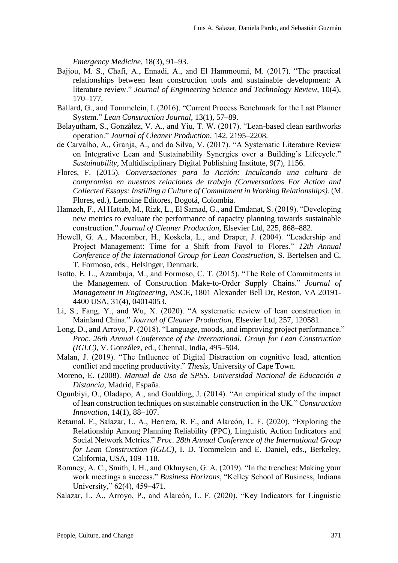*Emergency Medicine*, 18(3), 91–93.

- Bajjou, M. S., Chafi, A., Ennadi, A., and El Hammoumi, M. (2017). "The practical relationships between lean construction tools and sustainable development: A literature review." *Journal of Engineering Science and Technology Review*, 10(4), 170–177.
- Ballard, G., and Tommelein, I. (2016). "Current Process Benchmark for the Last Planner System." *Lean Construction Journal*, 13(1), 57–89.
- Belayutham, S., González, V. A., and Yiu, T. W. (2017). "Lean-based clean earthworks operation." *Journal of Cleaner Production*, 142, 2195–2208.
- de Carvalho, A., Granja, A., and da Silva, V. (2017). "A Systematic Literature Review on Integrative Lean and Sustainability Synergies over a Building's Lifecycle." *Sustainability*, Multidisciplinary Digital Publishing Institute, 9(7), 1156.
- Flores, F. (2015). *Conversaciones para la Acción: Inculcando una cultura de compromiso en nuestras relaciones de trabajo (Conversations For Action and Collected Essays: Instilling a Culture of Commitment in Working Relationships)*. (M. Flores, ed.), Lemoine Editores, Bogotá, Colombia.
- Hamzeh, F., Al Hattab, M., Rizk, L., El Samad, G., and Emdanat, S. (2019). "Developing new metrics to evaluate the performance of capacity planning towards sustainable construction." *Journal of Cleaner Production*, Elsevier Ltd, 225, 868–882.
- Howell, G. A., Macomber, H., Koskela, L., and Draper, J. (2004). "Leadership and Project Management: Time for a Shift from Fayol to Flores." *12th Annual Conference of the International Group for Lean Construction*, S. Bertelsen and C. T. Formoso, eds., Helsingør, Denmark.
- Isatto, E. L., Azambuja, M., and Formoso, C. T. (2015). "The Role of Commitments in the Management of Construction Make-to-Order Supply Chains." *Journal of Management in Engineering*, ASCE, 1801 Alexander Bell Dr, Reston, VA 20191- 4400 USA, 31(4), 04014053.
- Li, S., Fang, Y., and Wu, X. (2020). "A systematic review of lean construction in Mainland China." *Journal of Cleaner Production*, Elsevier Ltd, 257, 120581.
- Long, D., and Arroyo, P. (2018). "Language, moods, and improving project performance." *Proc. 26th Annual Conference of the International. Group for Lean Construction (IGLC)*, V. González, ed., Chennai, India, 495–504.
- Malan, J. (2019). "The Influence of Digital Distraction on cognitive load, attention conflict and meeting productivity." *Thesis*, University of Cape Town.
- Moreno, E. (2008). *Manual de Uso de SPSS*. *Universidad Nacional de Educación a Distancia*, Madrid, España.
- Ogunbiyi, O., Oladapo, A., and Goulding, J. (2014). "An empirical study of the impact of lean construction techniques on sustainable construction in the UK." *Construction Innovation*, 14(1), 88–107.
- Retamal, F., Salazar, L. A., Herrera, R. F., and Alarcón, L. F. (2020). "Exploring the Relationship Among Planning Reliability (PPC), Linguistic Action Indicators and Social Network Metrics." *Proc. 28th Annual Conference of the International Group for Lean Construction (IGLC)*, I. D. Tommelein and E. Daniel, eds., Berkeley, California, USA, 109–118.
- Romney, A. C., Smith, I. H., and Okhuysen, G. A. (2019). "In the trenches: Making your work meetings a success." *Business Horizons*, "Kelley School of Business, Indiana University," 62(4), 459–471.
- Salazar, L. A., Arroyo, P., and Alarcón, L. F. (2020). "Key Indicators for Linguistic